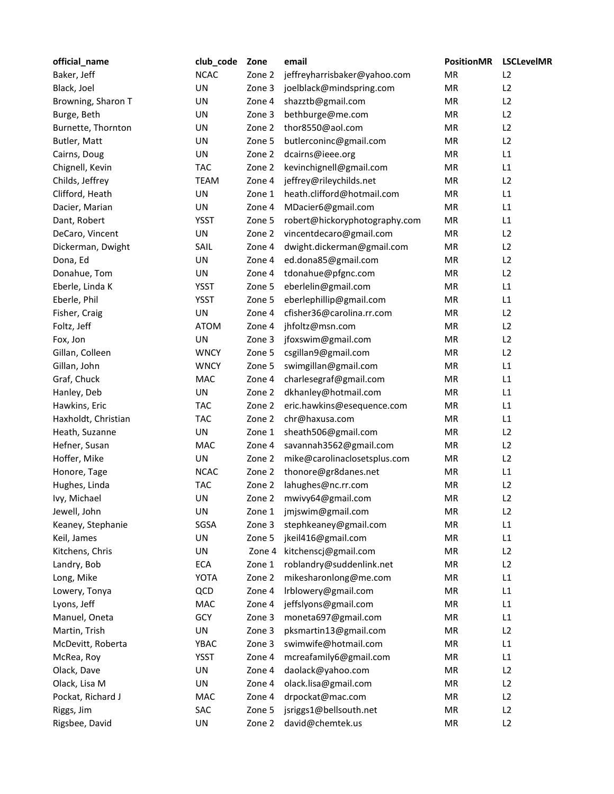| official_name       | club_code   | Zone   | email                         | <b>PositionMR</b> | <b>LSCLevelMR</b> |
|---------------------|-------------|--------|-------------------------------|-------------------|-------------------|
| Baker, Jeff         | <b>NCAC</b> | Zone 2 | jeffreyharrisbaker@yahoo.com  | MR                | L2                |
| Black, Joel         | UN          | Zone 3 | joelblack@mindspring.com      | <b>MR</b>         | L2                |
| Browning, Sharon T  | UN          | Zone 4 | shazztb@gmail.com             | MR                | L2                |
| Burge, Beth         | UN          | Zone 3 | bethburge@me.com              | MR                | L2                |
| Burnette, Thornton  | UN          | Zone 2 | thor8550@aol.com              | MR                | L2                |
| Butler, Matt        | UN          | Zone 5 | butlerconinc@gmail.com        | MR                | L2                |
| Cairns, Doug        | UN          | Zone 2 | dcairns@ieee.org              | MR                | L1                |
| Chignell, Kevin     | <b>TAC</b>  | Zone 2 | kevinchignell@gmail.com       | MR                | L1                |
| Childs, Jeffrey     | <b>TEAM</b> | Zone 4 | jeffrey@rileychilds.net       | MR                | L2                |
| Clifford, Heath     | UN          | Zone 1 | heath.clifford@hotmail.com    | MR                | L1                |
| Dacier, Marian      | UN          | Zone 4 | MDacier6@gmail.com            | MR                | L1                |
| Dant, Robert        | <b>YSST</b> | Zone 5 | robert@hickoryphotography.com | MR                | L1                |
| DeCaro, Vincent     | UN          | Zone 2 | vincentdecaro@gmail.com       | MR                | L2                |
| Dickerman, Dwight   | SAIL        | Zone 4 | dwight.dickerman@gmail.com    | MR                | L2                |
| Dona, Ed            | UN          | Zone 4 | ed.dona85@gmail.com           | MR                | L2                |
| Donahue, Tom        | UN          | Zone 4 | tdonahue@pfgnc.com            | MR                | L2                |
| Eberle, Linda K     | <b>YSST</b> | Zone 5 | eberlelin@gmail.com           | MR                | L1                |
| Eberle, Phil        | <b>YSST</b> | Zone 5 | eberlephillip@gmail.com       | MR                | L1                |
| Fisher, Craig       | UN          | Zone 4 | cfisher36@carolina.rr.com     | MR                | L2                |
| Foltz, Jeff         | <b>ATOM</b> | Zone 4 | jhfoltz@msn.com               | MR                | L2                |
| Fox, Jon            | UN          | Zone 3 | jfoxswim@gmail.com            | MR                | L2                |
| Gillan, Colleen     | <b>WNCY</b> | Zone 5 | csgillan9@gmail.com           | MR                | L2                |
| Gillan, John        | <b>WNCY</b> | Zone 5 | swimgillan@gmail.com          | MR                | L1                |
| Graf, Chuck         | MAC         | Zone 4 | charlesegraf@gmail.com        | MR                | L1                |
| Hanley, Deb         | UN          | Zone 2 | dkhanley@hotmail.com          | <b>MR</b>         | L1                |
| Hawkins, Eric       | <b>TAC</b>  | Zone 2 | eric.hawkins@esequence.com    | MR                | L1                |
| Haxholdt, Christian | <b>TAC</b>  | Zone 2 | chr@haxusa.com                | MR                | L1                |
| Heath, Suzanne      | UN          | Zone 1 | sheath506@gmail.com           | MR                | L2                |
| Hefner, Susan       | MAC         | Zone 4 | savannah3562@gmail.com        | MR                | L2                |
| Hoffer, Mike        | UN          | Zone 2 | mike@carolinaclosetsplus.com  | <b>MR</b>         | L2                |
| Honore, Tage        | <b>NCAC</b> | Zone 2 | thonore@gr8danes.net          | MR                | L1                |
| Hughes, Linda       | <b>TAC</b>  | Zone 2 | lahughes@nc.rr.com            | MR                | L2                |
| Ivy, Michael        | UN          | Zone 2 | mwivy64@gmail.com             | MR                | L2                |
| Jewell, John        | UN          | Zone 1 | jmjswim@gmail.com             | MR                | L2                |
| Keaney, Stephanie   | SGSA        | Zone 3 | stephkeaney@gmail.com         | MR                | L1                |
| Keil, James         | UN          | Zone 5 | jkeil416@gmail.com            | MR                | L1                |
| Kitchens, Chris     | UN          | Zone 4 | kitchenscj@gmail.com          | MR                | L2                |
| Landry, Bob         | ECA         | Zone 1 | roblandry@suddenlink.net      | MR                | L2                |
| Long, Mike          | <b>YOTA</b> | Zone 2 | mikesharonlong@me.com         | MR                | L1                |
| Lowery, Tonya       | QCD         | Zone 4 | Irblowery@gmail.com           | <b>MR</b>         | L1                |
| Lyons, Jeff         | MAC         | Zone 4 | jeffslyons@gmail.com          | MR                | L1                |
| Manuel, Oneta       | GCY         | Zone 3 | moneta697@gmail.com           | MR                | L1                |
| Martin, Trish       | UN          | Zone 3 | pksmartin13@gmail.com         | MR                | L2                |
| McDevitt, Roberta   | YBAC        | Zone 3 | swimwife@hotmail.com          | MR                | L1                |
| McRea, Roy          | YSST        | Zone 4 | mcreafamily6@gmail.com        | MR                | L1                |
| Olack, Dave         | UN          | Zone 4 | daolack@yahoo.com             | MR                | L2                |
| Olack, Lisa M       | UN          | Zone 4 | olack.lisa@gmail.com          | MR                | L2                |
| Pockat, Richard J   | MAC         | Zone 4 | drpockat@mac.com              | ${\sf MR}$        | L2                |
| Riggs, Jim          | SAC         | Zone 5 | jsriggs1@bellsouth.net        | MR                | L2                |
| Rigsbee, David      | UN          | Zone 2 | david@chemtek.us              | MR                | L2                |
|                     |             |        |                               |                   |                   |